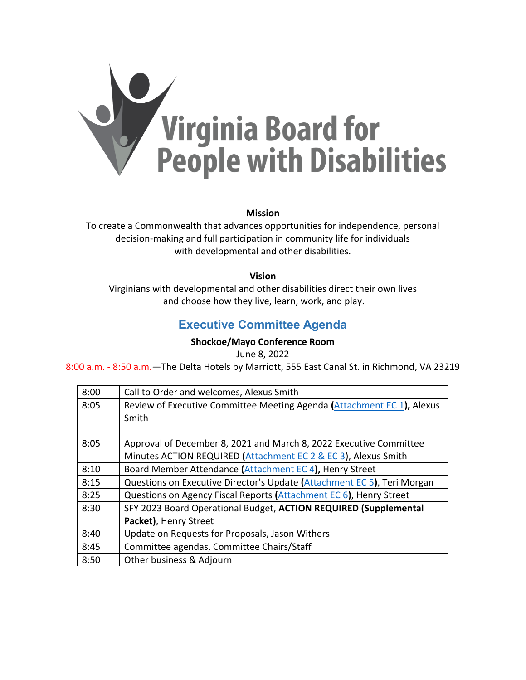

#### **Mission**

To create a Commonwealth that advances opportunities for independence, personal decision-making and full participation in community life for individuals with developmental and other disabilities.

#### **Vision**

<span id="page-0-0"></span>Virginians with developmental and other disabilities direct their own lives and choose how they live, learn, work, and play.

### **Executive Committee Agenda**

#### **Shockoe/Mayo Conference Room**

June 8, 2022

8:00 a.m. - 8:50 a.m.—The Delta Hotels by Marriott, 555 East Canal St. in Richmond, VA 23219

| 8:00 | Call to Order and welcomes, Alexus Smith                                |
|------|-------------------------------------------------------------------------|
| 8:05 | Review of Executive Committee Meeting Agenda (Attachment EC 1), Alexus  |
|      | Smith                                                                   |
|      |                                                                         |
| 8:05 | Approval of December 8, 2021 and March 8, 2022 Executive Committee      |
|      | Minutes ACTION REQUIRED (Attachment EC 2 & EC 3), Alexus Smith          |
| 8:10 | Board Member Attendance (Attachment EC 4), Henry Street                 |
| 8:15 | Questions on Executive Director's Update (Attachment EC 5), Teri Morgan |
| 8:25 | Questions on Agency Fiscal Reports (Attachment EC 6), Henry Street      |
| 8:30 | SFY 2023 Board Operational Budget, ACTION REQUIRED (Supplemental        |
|      | Packet), Henry Street                                                   |
| 8:40 | Update on Requests for Proposals, Jason Withers                         |
| 8:45 | Committee agendas, Committee Chairs/Staff                               |
| 8:50 | Other business & Adjourn                                                |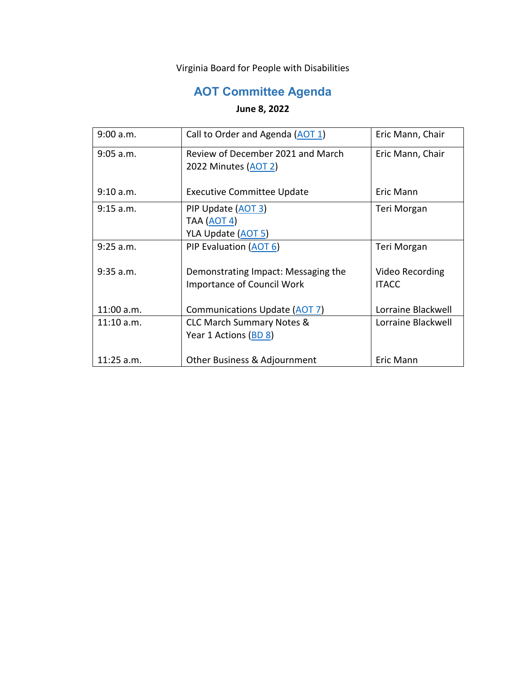Virginia Board for People with Disabilities

# **AOT Committee Agenda**

### <span id="page-1-0"></span>**June 8, 2022**

| 9:00 a.m.    | Call to Order and Agenda (AOT 1)     | Eric Mann, Chair   |
|--------------|--------------------------------------|--------------------|
| $9:05$ a.m.  | Review of December 2021 and March    | Eric Mann, Chair   |
|              | 2022 Minutes (AOT 2)                 |                    |
| 9:10 a.m.    | <b>Executive Committee Update</b>    | Eric Mann          |
| $9:15$ a.m.  | PIP Update (AOT 3)                   | Teri Morgan        |
|              | TAA ( <u>AOT 4</u> )                 |                    |
|              | YLA Update (AOT 5)                   |                    |
| $9:25$ a.m.  | PIP Evaluation (AOT 6)               | Teri Morgan        |
|              |                                      |                    |
| $9:35$ a.m.  | Demonstrating Impact: Messaging the  | Video Recording    |
|              | <b>Importance of Council Work</b>    | <b>ITACC</b>       |
|              |                                      |                    |
| 11:00 a.m.   | Communications Update (AOT 7)        | Lorraine Blackwell |
| $11:10$ a.m. | <b>CLC March Summary Notes &amp;</b> | Lorraine Blackwell |
|              | Year 1 Actions (BD 8)                |                    |
|              |                                      |                    |
| $11:25$ a.m. | Other Business & Adjournment         | Eric Mann          |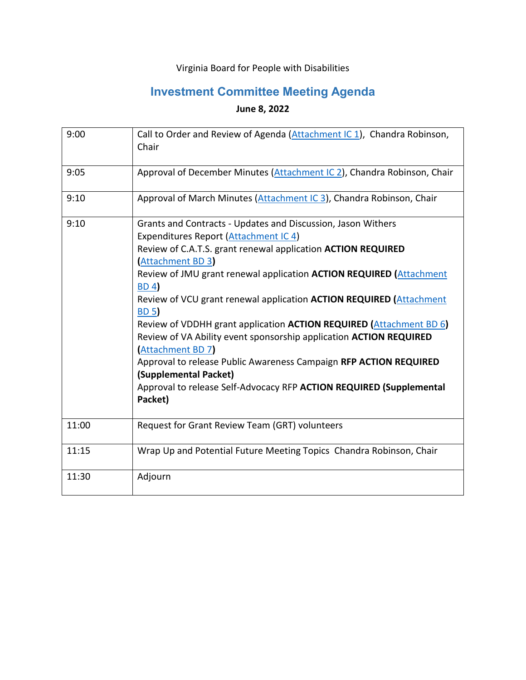## Virginia Board for People with Disabilities

# **Investment Committee Meeting Agenda**

### **June 8, 2022**

| 9:00  | Call to Order and Review of Agenda (Attachment IC 1), Chandra Robinson,<br>Chair                                                                                                                                                                                                                                                                                                                                                                                                                                                                                                                                                                                                                                                      |
|-------|---------------------------------------------------------------------------------------------------------------------------------------------------------------------------------------------------------------------------------------------------------------------------------------------------------------------------------------------------------------------------------------------------------------------------------------------------------------------------------------------------------------------------------------------------------------------------------------------------------------------------------------------------------------------------------------------------------------------------------------|
| 9:05  | Approval of December Minutes (Attachment IC 2), Chandra Robinson, Chair                                                                                                                                                                                                                                                                                                                                                                                                                                                                                                                                                                                                                                                               |
| 9:10  | Approval of March Minutes (Attachment IC 3), Chandra Robinson, Chair                                                                                                                                                                                                                                                                                                                                                                                                                                                                                                                                                                                                                                                                  |
| 9:10  | Grants and Contracts - Updates and Discussion, Jason Withers<br>Expenditures Report (Attachment IC 4)<br>Review of C.A.T.S. grant renewal application ACTION REQUIRED<br>(Attachment BD 3)<br>Review of JMU grant renewal application ACTION REQUIRED (Attachment<br><b>BD4</b><br>Review of VCU grant renewal application <b>ACTION REQUIRED</b> (Attachment<br><b>BD 5</b> )<br>Review of VDDHH grant application ACTION REQUIRED (Attachment BD 6)<br>Review of VA Ability event sponsorship application ACTION REQUIRED<br><b>Attachment BD 7</b><br>Approval to release Public Awareness Campaign RFP ACTION REQUIRED<br>(Supplemental Packet)<br>Approval to release Self-Advocacy RFP ACTION REQUIRED (Supplemental<br>Packet) |
| 11:00 | Request for Grant Review Team (GRT) volunteers                                                                                                                                                                                                                                                                                                                                                                                                                                                                                                                                                                                                                                                                                        |
| 11:15 | Wrap Up and Potential Future Meeting Topics Chandra Robinson, Chair                                                                                                                                                                                                                                                                                                                                                                                                                                                                                                                                                                                                                                                                   |
| 11:30 | Adjourn                                                                                                                                                                                                                                                                                                                                                                                                                                                                                                                                                                                                                                                                                                                               |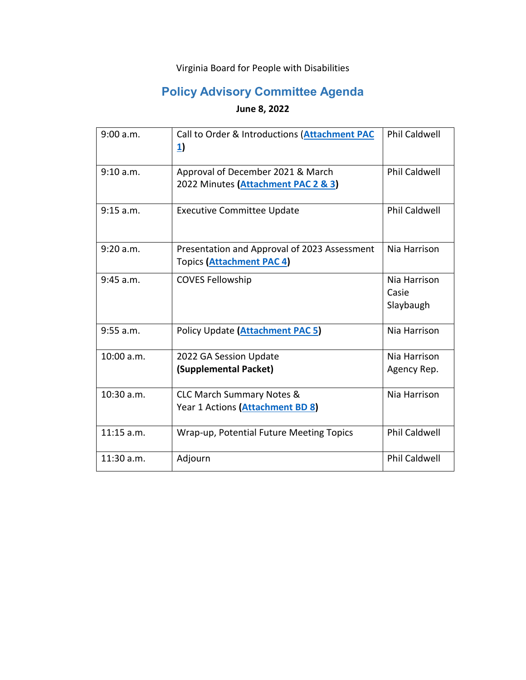## Virginia Board for People with Disabilities

# **Policy Advisory Committee Agenda**

## **June 8, 2022**

| 9:00 a.m.   | Call to Order & Introductions (Attachment PAC<br>$\mathbf{1}$                    | <b>Phil Caldwell</b>               |
|-------------|----------------------------------------------------------------------------------|------------------------------------|
| 9:10 a.m.   | Approval of December 2021 & March<br>2022 Minutes (Attachment PAC 2 & 3)         | <b>Phil Caldwell</b>               |
| 9:15 a.m.   | <b>Executive Committee Update</b>                                                | <b>Phil Caldwell</b>               |
| 9:20 a.m.   | Presentation and Approval of 2023 Assessment<br><b>Topics (Attachment PAC 4)</b> | Nia Harrison                       |
| $9:45$ a.m. | <b>COVES Fellowship</b>                                                          | Nia Harrison<br>Casie<br>Slaybaugh |
| $9:55$ a.m. | Policy Update (Attachment PAC 5)                                                 | Nia Harrison                       |
| 10:00 a.m.  | 2022 GA Session Update<br>(Supplemental Packet)                                  | Nia Harrison<br>Agency Rep.        |
| 10:30 a.m.  | <b>CLC March Summary Notes &amp;</b><br>Year 1 Actions (Attachment BD 8)         | Nia Harrison                       |
| 11:15 a.m.  | Wrap-up, Potential Future Meeting Topics                                         | <b>Phil Caldwell</b>               |
| 11:30 a.m.  | Adjourn                                                                          | <b>Phil Caldwell</b>               |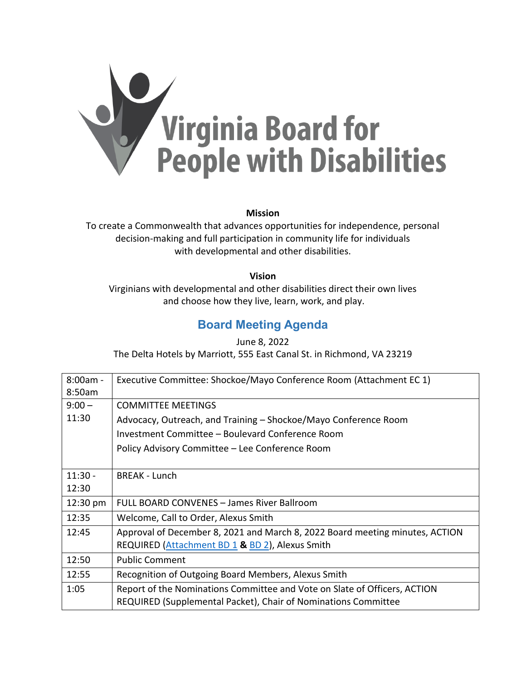

**Mission**

To create a Commonwealth that advances opportunities for independence, personal decision-making and full participation in community life for individuals with developmental and other disabilities.

**Vision**

Virginians with developmental and other disabilities direct their own lives and choose how they live, learn, work, and play.

# **Board Meeting Agenda**

June 8, 2022 The Delta Hotels by Marriott, 555 East Canal St. in Richmond, VA 23219

| 8:00am -  | Executive Committee: Shockoe/Mayo Conference Room (Attachment EC 1)          |
|-----------|------------------------------------------------------------------------------|
| 8:50am    |                                                                              |
| $9:00 -$  | <b>COMMITTEE MEETINGS</b>                                                    |
| 11:30     | Advocacy, Outreach, and Training – Shockoe/Mayo Conference Room              |
|           | Investment Committee - Boulevard Conference Room                             |
|           | Policy Advisory Committee - Lee Conference Room                              |
|           |                                                                              |
| $11:30 -$ | <b>BREAK - Lunch</b>                                                         |
| 12:30     |                                                                              |
| 12:30 pm  | FULL BOARD CONVENES - James River Ballroom                                   |
| 12:35     | Welcome, Call to Order, Alexus Smith                                         |
| 12:45     | Approval of December 8, 2021 and March 8, 2022 Board meeting minutes, ACTION |
|           | REQUIRED (Attachment BD 1 & BD 2), Alexus Smith                              |
| 12:50     | <b>Public Comment</b>                                                        |
| 12:55     | Recognition of Outgoing Board Members, Alexus Smith                          |
| 1:05      | Report of the Nominations Committee and Vote on Slate of Officers, ACTION    |
|           | REQUIRED (Supplemental Packet), Chair of Nominations Committee               |